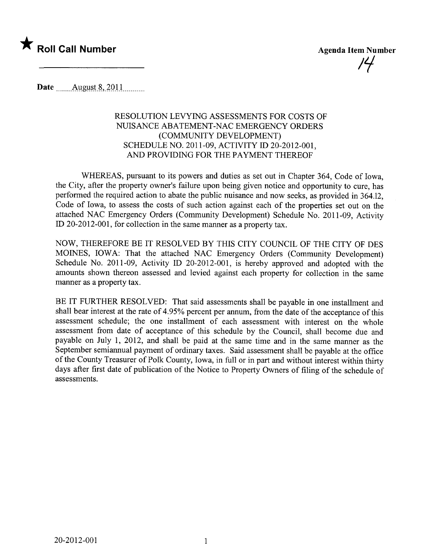

Date ........Altglls-t~,.iQJJ........\_\_

## RESOLUTION LEVYING ASSESSMENTS FOR COSTS OF NUISANCE ABATEMENT-NAC EMERGENCY ORDERS (COMMUNITY DEVELOPMENT) SCHEDULE NO. 2011-09, ACTIVITY ID 20-2012-001, AND PROVIDING FOR THE PAYMENT THEREOF

WHEREAS, pursuant to its powers and duties as set out in Chapter 364, Code of Iowa, the City, after the property owner's failure upon being given notice and opportunity to cure, has performed the required action to abate the public nuisance and now seeks, as provided in 364.12, Code of Iowa, to assess the costs of such action against each of the properties set out on the attached NAC Emergency Orders (Community Development) Schedule No. 2011-09, Activity ID 20-2012-001, for collection in the same manner as a property tax.

NOW, THEREFORE BE IT RESOLVED BY THIS CITY COUNCIL OF THE CITY OF DES MOINES, lOW A: That the attached NAC Emergency Orders (Community Development) Schedule No. 2011-09, Activity ID 20-2012-001, is hereby approved and adopted with the amounts shown thereon assessed and levied against each property for collection in the same manner as a property tax.

BE IT FURTHER RESOLVED: That said assessments shall be payable in one installment and shall bear interest at the rate of 4.95% percent per annum, from the date of the acceptance of this assessment schedule; the one installment of each assessment with interest on the whole assessment from date of acceptance of this schedule by the Council, shall become due and payable on July 1, 2012, and shall be paid at the same time and in the same manner as the September semiannual payment of ordinary taxes. Said assessment shall be payable at the office of the County Treasurer of Polk County, Iowa, in full or in part and without interest within thirty days after first date of publication of the Notice to Property Owners of filing of the schedule of assessments.